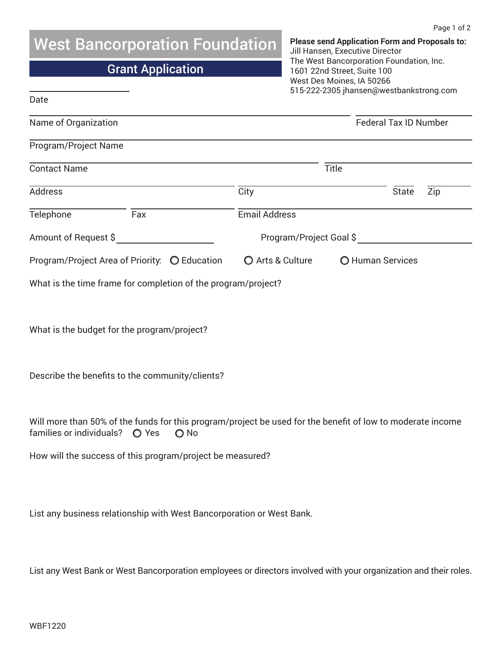## West Bancorporation Foundation

## Grant Application

**Please send Application Form and Proposals to:**  Jill Hansen, Executive Director The West Bancorporation Foundation, Inc. 1601 22nd Street, Suite 100 West Des Moines, IA 50266 515-222-2305 jhansen@westbankstrong.com

| Date                                                          |     |               |                                                                                                                   |                              |                     |  |
|---------------------------------------------------------------|-----|---------------|-------------------------------------------------------------------------------------------------------------------|------------------------------|---------------------|--|
| Name of Organization                                          |     |               |                                                                                                                   | <b>Federal Tax ID Number</b> |                     |  |
| Program/Project Name                                          |     |               |                                                                                                                   |                              |                     |  |
| <b>Contact Name</b>                                           |     |               | Title                                                                                                             |                              |                     |  |
| Address                                                       |     |               | City                                                                                                              |                              | <b>State</b><br>Zip |  |
| Telephone                                                     | Fax |               | <b>Email Address</b>                                                                                              |                              |                     |  |
| Amount of Request \$                                          |     |               | Program/Project Goal \$                                                                                           |                              |                     |  |
| Program/Project Area of Priority: O Education                 |     |               | O Arts & Culture                                                                                                  | O Human Services             |                     |  |
| What is the time frame for completion of the program/project? |     |               |                                                                                                                   |                              |                     |  |
|                                                               |     |               |                                                                                                                   |                              |                     |  |
| What is the budget for the program/project?                   |     |               |                                                                                                                   |                              |                     |  |
|                                                               |     |               |                                                                                                                   |                              |                     |  |
| Describe the benefits to the community/clients?               |     |               |                                                                                                                   |                              |                     |  |
|                                                               |     |               |                                                                                                                   |                              |                     |  |
|                                                               |     |               | Will more than 50% of the funds for this program/project be used for the benefit of low to moderate income        |                              |                     |  |
| families or individuals?  O Yes                               |     | $\bigcirc$ No |                                                                                                                   |                              |                     |  |
| How will the success of this program/project be measured?     |     |               |                                                                                                                   |                              |                     |  |
|                                                               |     |               |                                                                                                                   |                              |                     |  |
|                                                               |     |               | List any business relationship with West Bancorporation or West Bank.                                             |                              |                     |  |
|                                                               |     |               |                                                                                                                   |                              |                     |  |
|                                                               |     |               |                                                                                                                   |                              |                     |  |
|                                                               |     |               | List any West Bank or West Bancorporation employees or directors involved with your organization and their roles. |                              |                     |  |